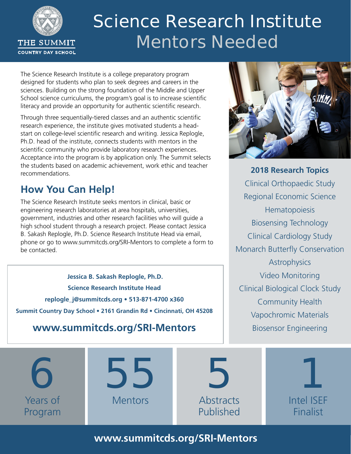

# **Science Research Institute Mentors Needed**

The Science Research Institute is a college preparatory program designed for students who plan to seek degrees and careers in the sciences. Building on the strong foundation of the Middle and Upper School science curriculums, the program's goal is to increase scientific literacy and provide an opportunity for authentic scientific research.

Through three sequentially-tiered classes and an authentic scientific research experience, the institute gives motivated students a headstart on college-level scientific research and writing. Jessica Replogle, Ph.D. head of the institute, connects students with mentors in the scientific community who provide laboratory research experiences. Acceptance into the program is by application only. The Summit selects the students based on academic achievement, work ethic and teacher recommendations.

## **How You Can Help!**

The Science Research Institute seeks mentors in clinical, basic or engineering research laboratories at area hospitals, universities, government, industries and other research facilities who will guide a high school student through a research project. Please contact Jessica B. Sakash Replogle, Ph.D. Science Research Institute Head via email, phone or go to www.summitcds.org/SRI-Mentors to complete a form to be contacted.

**Jessica B. Sakash Replogle, Ph.D. Science Research Institute Head replogle\_j@summitcds.org • 513-871-4700 x360 Summit Country Day School • 2161 Grandin Rd • Cincinnati, OH 45208**

## **www.summitcds.org/SRI-Mentors**



**2018 Research Topics** Clinical Orthopaedic Study Regional Economic Science **Hematopoiesis** Biosensing Technology Clinical Cardiology Study Monarch Butterfly Conservation **Astrophysics** Video Monitoring Clinical Biological Clock Study Community Health Vapochromic Materials Biosensor Engineering

**6** Years of Program **55** Mentors **5 Abstracts** Published **1** Intel ISEF Finalist

**www.summitcds.org/SRI-Mentors**